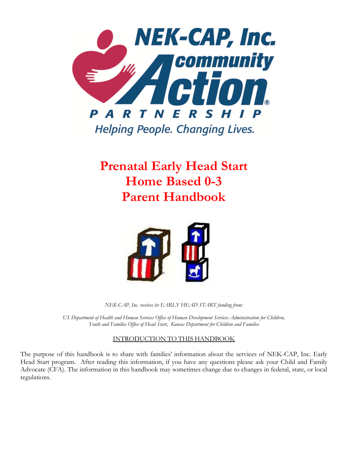

**Prenatal Early Head Start Home Based 0-3 Parent Handbook**



*NEK-CAP, Inc. receives its EARLY HEAD START funding from:*

*US Department of Health and Human Services Office of Human Development Services Administration for Children, Youth and Families Office of Head Start, Kansas Department for Children and Families*

#### INTRODUCTION TO THIS HANDBOOK

The purpose of this handbook is to share with families' information about the services of NEK-CAP, Inc. Early Head Start program. After reading this information, if you have any questions please ask your Child and Family Advocate (CFA). The information in this handbook may sometimes change due to changes in federal, state, or local regulations.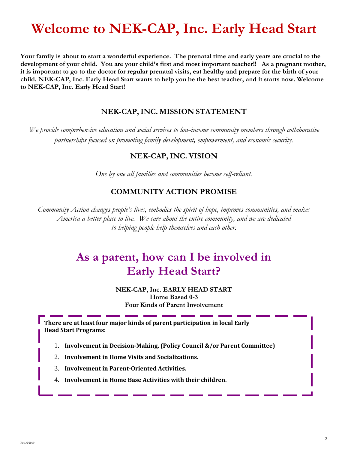# **Welcome to NEK-CAP, Inc. Early Head Start**

**Your family is about to start a wonderful experience. The prenatal time and early years are crucial to the development of your child. You are your child's first and most important teacher!! As a pregnant mother, it is important to go to the doctor for regular prenatal visits, eat healthy and prepare for the birth of your child. NEK-CAP, Inc. Early Head Start wants to help you be the best teacher, and it starts now. Welcome to NEK-CAP, Inc. Early Head Start!**

#### **NEK-CAP,INC. MISSION STATEMENT**

*We provide comprehensive education and social services to low-income community members through collaborative partnerships focused on promoting family development, empowerment, and economic security.*

#### **NEK-CAP,INC. VISION**

*One by one all families and communities become self-reliant.*

### **COMMUNITY ACTION PROMISE**

*Community Action changes people's lives, embodies the spirit of hope, improves communities, and makes America a better place to live. We care about the entire community, and we are dedicated to helping people help themselves and each other.*

## **As a parent, how can I be involved in Early Head Start?**

#### **NEK-CAP, Inc. EARLY HEAD START Home Based 0-3 Four Kinds of Parent Involvement**

**There are at least four major kinds of parent participation in local Early Head Start Programs:**

- 1. **Involvement in Decision-Making. (Policy Council &/or Parent Committee)**
- 2. **Involvement in Home Visits and Socializations.**
- 3. **Involvement in Parent-Oriented Activities.**
- 4. **Involvement in Home Base Activities with their children.**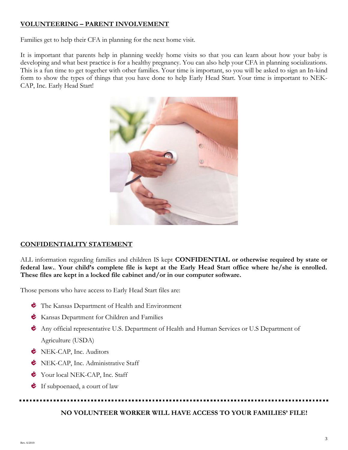#### **VOLUNTEERING – PARENT INVOLVEMENT**

Families get to help their CFA in planning for the next home visit.

It is important that parents help in planning weekly home visits so that you can learn about how your baby is developing and what best practice is for a healthy pregnancy. You can also help your CFA in planning socializations. This is a fun time to get together with other families. Your time is important, so you will be asked to sign an In-kind form to show the types of things that you have done to help Early Head Start. Your time is important to NEK-CAP, Inc. Early Head Start!



#### **CONFIDENTIALITY STATEMENT**

ALL information regarding families and children IS kept **CONFIDENTIAL or otherwise required by state or federal law.**. **Your child's complete file is kept at the Early Head Start office where he/she is enrolled. These files are kept in a locked file cabinet and/or in our computer software.**

Those persons who have access to Early Head Start files are:

- The Kansas Department of Health and Environment
- **Kansas Department for Children and Families**
- Any official representative U.S. Department of Health and Human Services or U.S Department of Agriculture (USDA)
- **E** NEK-CAP, Inc. Auditors
- NEK-CAP, Inc. Administrative Staff
- Your local NEK-CAP, Inc. Staff
- $\bullet$  If subpoenaed, a court of law

#### **NO VOLUNTEER WORKER WILL HAVE ACCESS TO YOUR FAMILIES' FILE!**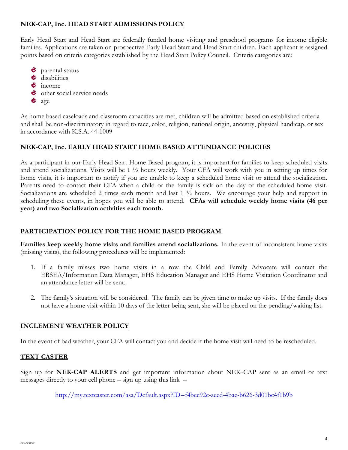#### **NEK-CAP, Inc. HEAD START ADMISSIONS POLICY**

Early Head Start and Head Start are federally funded home visiting and preschool programs for income eligible families. Applications are taken on prospective Early Head Start and Head Start children. Each applicant is assigned points based on criteria categories established by the Head Start Policy Council. Criteria categories are:

- $\bullet$  parental status  $\bullet$  disabilities  $\dot{\boldsymbol{\epsilon}}$  income
- ther social service needs
- $\bullet$  age

As home based caseloads and classroom capacities are met, children will be admitted based on established criteria and shall be non-discriminatory in regard to race, color, religion, national origin, ancestry, physical handicap, or sex in accordance with K.S.A. 44-1009

#### **NEK-CAP, Inc. EARLY HEAD START HOME BASED ATTENDANCE POLICIES**

As a participant in our Early Head Start Home Based program, it is important for families to keep scheduled visits and attend socializations. Visits will be 1 ½ hours weekly. Your CFA will work with you in setting up times for home visits, it is important to notify if you are unable to keep a scheduled home visit or attend the socialization. Parents need to contact their CFA when a child or the family is sick on the day of the scheduled home visit. Socializations are scheduled 2 times each month and last 1  $\frac{1}{2}$  hours. We encourage your help and support in scheduling these events, in hopes you will be able to attend. **CFAs will schedule weekly home visits (46 per year) and two Socialization activities each month.**

#### **PARTICIPATION POLICY FOR THE HOME BASED PROGRAM**

**Families keep weekly home visits and families attend socializations.** In the event of inconsistent home visits (missing visits), the following procedures will be implemented:

- 1. If a family misses two home visits in a row the Child and Family Advocate will contact the ERSEA/Information Data Manager, EHS Education Manager and EHS Home Visitation Coordinator and an attendance letter will be sent.
- 2. The family's situation will be considered. The family can be given time to make up visits. If the family does not have a home visit within 10 days of the letter being sent, she will be placed on the pending/waiting list.

#### **INCLEMENT WEATHER POLICY**

In the event of bad weather, your CFA will contact you and decide if the home visit will need to be rescheduled.

#### **TEXT CASTER**

Sign up for **NEK-CAP ALERTS** and get important information about NEK-CAP sent as an email or text messages directly to your cell phone – sign up using this link –

<http://my.textcaster.com/asa/Default.aspx?ID=f4bec92c-aeed-4bae-b626-3d01bc4f1b9b>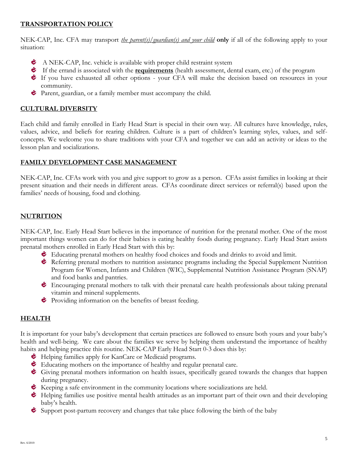#### **TRANSPORTATION POLICY**

NEK-CAP, Inc. CFA may transport *the parent(s)/guardian(s) and your child* **only** if all of the following apply to your situation:

- A NEK-CAP, Inc. vehicle is available with proper child restraint system
- If the errand is associated with the **requirements** (health assessment, dental exam, etc.) of the program
- If you have exhausted all other options your CFA will make the decision based on resources in your community.
- **Parent, guardian, or a family member must accompany the child.**

#### **CULTURAL DIVERSITY**

Each child and family enrolled in Early Head Start is special in their own way. All cultures have knowledge, rules, values, advice, and beliefs for rearing children. Culture is a part of children's learning styles, values, and selfconcepts. We welcome you to share traditions with your CFA and together we can add an activity or ideas to the lesson plan and socializations.

#### **FAMILY DEVELOPMENT CASE MANAGEMENT**

NEK-CAP, Inc. CFAs work with you and give support to grow as a person. CFAs assist families in looking at their present situation and their needs in different areas. CFAs coordinate direct services or referral(s) based upon the families' needs of housing, food and clothing.

#### **NUTRITION**

NEK-CAP, Inc. Early Head Start believes in the importance of nutrition for the prenatal mother. One of the most important things women can do for their babies is eating healthy foods during pregnancy. Early Head Start assists prenatal mothers enrolled in Early Head Start with this by:

- Educating prenatal mothers on healthy food choices and foods and drinks to avoid and limit.
- Referring prenatal mothers to nutrition assistance programs including the Special Supplement Nutrition Program for Women, Infants and Children (WIC), Supplemental Nutrition Assistance Program (SNAP) and food banks and pantries.
- Encouraging prenatal mothers to talk with their prenatal care health professionals about taking prenatal vitamin and mineral supplements.
- Providing information on the benefits of breast feeding.

#### **HEALTH**

It is important for your baby's development that certain practices are followed to ensure both yours and your baby's health and well-being. We care about the families we serve by helping them understand the importance of healthy habits and helping practice this routine. NEK-CAP Early Head Start 0-3 does this by:

- $\bullet$  Helping families apply for KanCare or Medicaid programs.
- Educating mothers on the importance of healthy and regular prenatal care.
- Giving prenatal mothers information on health issues, specifically geared towards the changes that happen during pregnancy.
- $\bullet$  Keeping a safe environment in the community locations where socializations are held.
- $\bullet$  Helping families use positive mental health attitudes as an important part of their own and their developing baby's health.
- Support post-partum recovery and changes that take place following the birth of the baby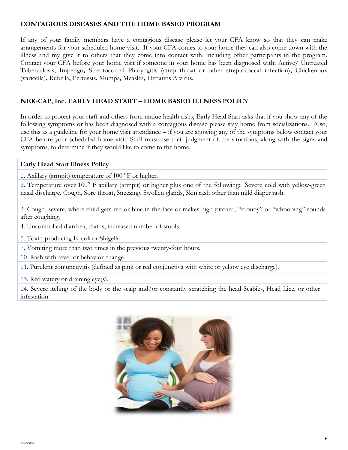#### **CONTAGIOUS DISEASES AND THE HOME BASED PROGRAM**

If any of your family members have a contagious disease please let your CFA know so that they can make arrangements for your scheduled home visit. If your CFA comes to your home they can also come down with the illness and my give it to others that they come into contact with, including other participants in the program. Contact your CFA before your home visit if someone in your home has been diagnosed with; Active/ Untreated Tuberculosis, Impetigo**,** Streptococcal Pharyngitis (strep throat or other streptococcal infection)**,** Chickenpox (varicella)**,** Rubella**,** Pertussis**,** Mumps**,** Measles**,** Hepatitis A virus**.**

#### **NEK-CAP, Inc. EARLY HEAD START – HOME BASED ILLNESS POLICY**

In order to protect your staff and others from undue health risks, Early Head Start asks that if you show any of the following symptoms or has been diagnosed with a contagious disease please stay home from socializations. Also, use this as a guideline for your home visit attendance – if you are showing any of the symptoms below contact your CFA before your scheduled home visit. Staff must use their judgment of the situations, along with the signs and symptoms, to determine if they would like to come to the home.

#### **Early Head Start Illness Policy**

1. Axillary (armpit) temperature of  $100^{\circ}$  F or higher.

2. Temperature over 100° F axillary (armpit) or higher plus one of the following: Severe cold with yellow-green nasal discharge, Cough, Sore throat, Sneezing, Swollen glands, Skin rash other than mild diaper rash.

3. Cough, severe, where child gets red or blue in the face or makes high-pitched, "croupy" or "whooping" sounds after coughing.

4. Uncontrolled diarrhea, that is, increased number of stools.

5. Toxin-producing E. coli or Shigella

7. Vomiting more than two times in the previous twenty-four hours.

10. Rash with fever or behavior change.

11. Purulent conjunctivitis (defined as pink or red conjunctiva with white or yellow eye discharge).

13. Red watery or draining eye(s).

14. Severe itching of the body or the scalp and/or constantly scratching the head Scabies, Head Lice, or other infestation.

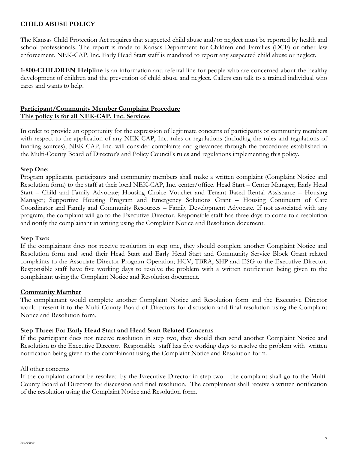#### **CHILD ABUSE POLICY**

The Kansas Child Protection Act requires that suspected child abuse and/or neglect must be reported by health and school professionals. The report is made to Kansas Department for Children and Families (DCF) or other law enforcement. NEK-CAP, Inc. Early Head Start staff is mandated to report any suspected child abuse or neglect.

**1-800-CHILDREN Helpline** is an information and referral line for people who are concerned about the healthy development of children and the prevention of child abuse and neglect. Callers can talk to a trained individual who cares and wants to help.

#### **Participant/Community Member Complaint Procedure This policy is for all NEK-CAP, Inc. Services**

In order to provide an opportunity for the expression of legitimate concerns of participants or community members with respect to the application of any NEK-CAP, Inc. rules or regulations (including the rules and regulations of funding sources), NEK-CAP, Inc. will consider complaints and grievances through the procedures established in the Multi-County Board of Director's and Policy Council's rules and regulations implementing this policy.

#### **Step One:**

Program applicants, participants and community members shall make a written complaint (Complaint Notice and Resolution form) to the staff at their local NEK-CAP, Inc. center/office. Head Start – Center Manager; Early Head Start – Child and Family Advocate; Housing Choice Voucher and Tenant Based Rental Assistance – Housing Manager; Supportive Housing Program and Emergency Solutions Grant – Housing Continuum of Care Coordinator and Family and Community Resources – Family Development Advocate. If not associated with any program, the complaint will go to the Executive Director. Responsible staff has three days to come to a resolution and notify the complainant in writing using the Complaint Notice and Resolution document.

#### **Step Two:**

If the complainant does not receive resolution in step one, they should complete another Complaint Notice and Resolution form and send their Head Start and Early Head Start and Community Service Block Grant related complaints to the Associate Director-Program Operation; HCV, TBRA, SHP and ESG to the Executive Director. Responsible staff have five working days to resolve the problem with a written notification being given to the complainant using the Complaint Notice and Resolution document.

#### **Community Member**

The complainant would complete another Complaint Notice and Resolution form and the Executive Director would present it to the Multi-County Board of Directors for discussion and final resolution using the Complaint Notice and Resolution form.

#### **Step Three: For Early Head Start and Head Start Related Concerns**

If the participant does not receive resolution in step two, they should then send another Complaint Notice and Resolution to the Executive Director. Responsible staff has five working days to resolve the problem with written notification being given to the complainant using the Complaint Notice and Resolution form.

#### All other concerns

If the complaint cannot be resolved by the Executive Director in step two - the complaint shall go to the Multi-County Board of Directors for discussion and final resolution. The complainant shall receive a written notification of the resolution using the Complaint Notice and Resolution form.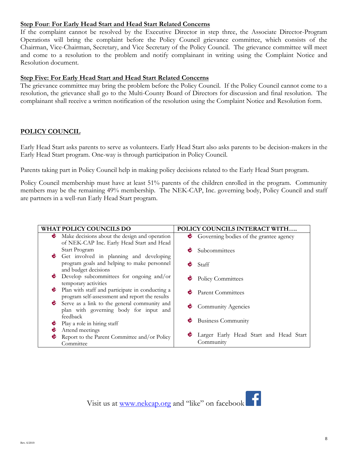#### **Step Four**: **For Early Head Start and Head Start Related Concerns**

If the complaint cannot be resolved by the Executive Director in step three, the Associate Director-Program Operations will bring the complaint before the Policy Council grievance committee, which consists of the Chairman, Vice-Chairman, Secretary, and Vice Secretary of the Policy Council. The grievance committee will meet and come to a resolution to the problem and notify complainant in writing using the Complaint Notice and Resolution document.

#### **Step Five: For Early Head Start and Head Start Related Concerns**

The grievance committee may bring the problem before the Policy Council. If the Policy Council cannot come to a resolution, the grievance shall go to the Multi-County Board of Directors for discussion and final resolution. The complainant shall receive a written notification of the resolution using the Complaint Notice and Resolution form.

#### **POLICY COUNCIL**

Early Head Start asks parents to serve as volunteers. Early Head Start also asks parents to be decision-makers in the Early Head Start program. One-way is through participation in Policy Council.

Parents taking part in Policy Council help in making policy decisions related to the Early Head Start program.

Policy Council membership must have at least 51% parents of the children enrolled in the program. Community members may be the remaining 49% membership. The NEK-CAP, Inc. governing body, Policy Council and staff are partners in a well-run Early Head Start program.

| <b>WHAT POLICY COUNCILS DO</b> |                                                 | POLICY COUNCILS INTERACT WITH |                                          |
|--------------------------------|-------------------------------------------------|-------------------------------|------------------------------------------|
| Ċ.                             | Make decisions about the design and operation   |                               | • Governing bodies of the grantee agency |
|                                | of NEK-CAP Inc. Early Head Start and Head       |                               |                                          |
|                                | Start Program                                   |                               | $\bullet$ Subcommittees                  |
|                                | Get involved in planning and developing         |                               |                                          |
|                                | program goals and helping to make personnel     |                               | $\bullet$ Staff                          |
|                                | and budget decisions                            |                               |                                          |
| Ċ.                             | Develop subcommittees for ongoing and/or        |                               | Policy Committees                        |
|                                | temporary activities                            |                               |                                          |
| Ċ                              | Plan with staff and participate in conducting a | Ċ                             | <b>Parent Committees</b>                 |
|                                | program self-assessment and report the results  |                               |                                          |
|                                | Serve as a link to the general community and    |                               | $\bullet$ Community Agencies             |
|                                | plan with governing body for input and          |                               |                                          |
|                                | feedback                                        |                               | $\bullet$ Business Community             |
|                                | Play a role in hiring staff                     |                               |                                          |
|                                | Attend meetings                                 |                               |                                          |
|                                | Report to the Parent Committee and/or Policy    |                               | Larger Early Head Start and Head Start   |
|                                | Committee                                       |                               | Community                                |